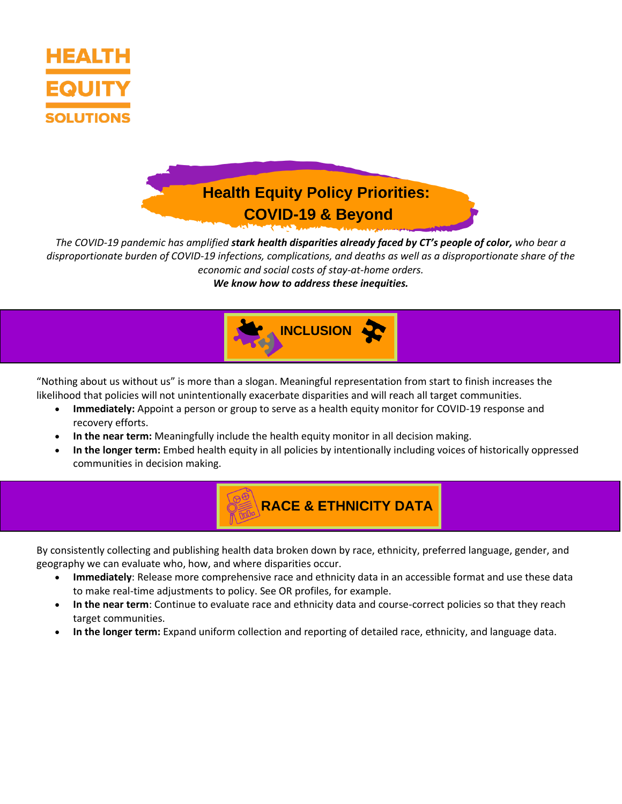

## **Health Equity Policy Priorities: COVID-19 & Beyond**

*The COVID-19 pandemic has amplified stark health disparities already faced by CT's people of color, who bear a disproportionate burden of COVID-19 infections, complications, and deaths as well as a disproportionate share of the economic and social costs of stay-at-home orders.* 

*We know how to address these inequities.*



"Nothing about us without us" is more than a slogan. Meaningful representation from start to finish increases the likelihood that policies will not unintentionally exacerbate disparities and will reach all target communities.

- **Immediately:** Appoint a person or group to serve as a health equity monitor for COVID-19 response and recovery efforts.
- **In the near term:** Meaningfully include the health equity monitor in all decision making.
- **In the longer term:** Embed health equity in all policies by intentionally including voices of historically oppressed communities in decision making.

**RACE & ETHNICITY DATA** 

By consistently collecting and publishing health data broken down by race, ethnicity, preferred language, gender, and geography we can evaluate who, how, and where disparities occur.

- **Immediately**: Release more comprehensive race and ethnicity data in an accessible format and use these data to make real-time adjustments to policy. See OR profiles, for example.
- **In the near term**: Continue to evaluate race and ethnicity data and course-correct policies so that they reach target communities.
- **In the longer term:** Expand uniform collection and reporting of detailed race, ethnicity, and language data.